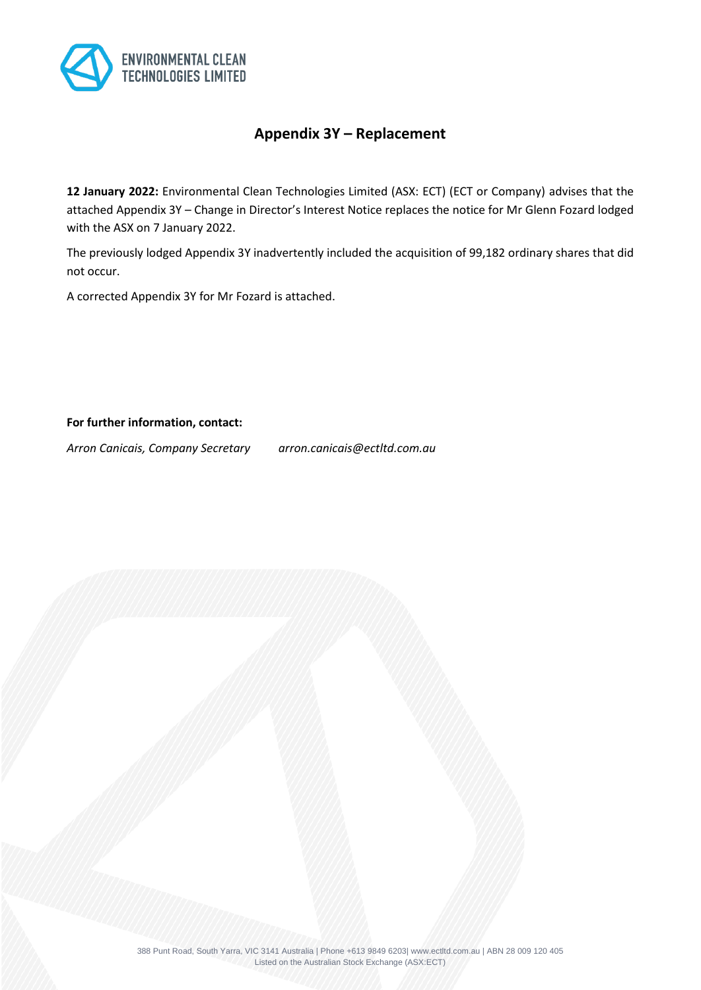

# **Appendix 3Y – Replacement**

**12 January 2022:** Environmental Clean Technologies Limited (ASX: ECT) (ECT or Company) advises that the attached Appendix 3Y – Change in Director's Interest Notice replaces the notice for Mr Glenn Fozard lodged with the ASX on 7 January 2022.

The previously lodged Appendix 3Y inadvertently included the acquisition of 99,182 ordinary shares that did not occur.

A corrected Appendix 3Y for Mr Fozard is attached.

**For further information, contact:**

*Arron Canicais, Company Secretary arron.canicais@ectltd.com.au*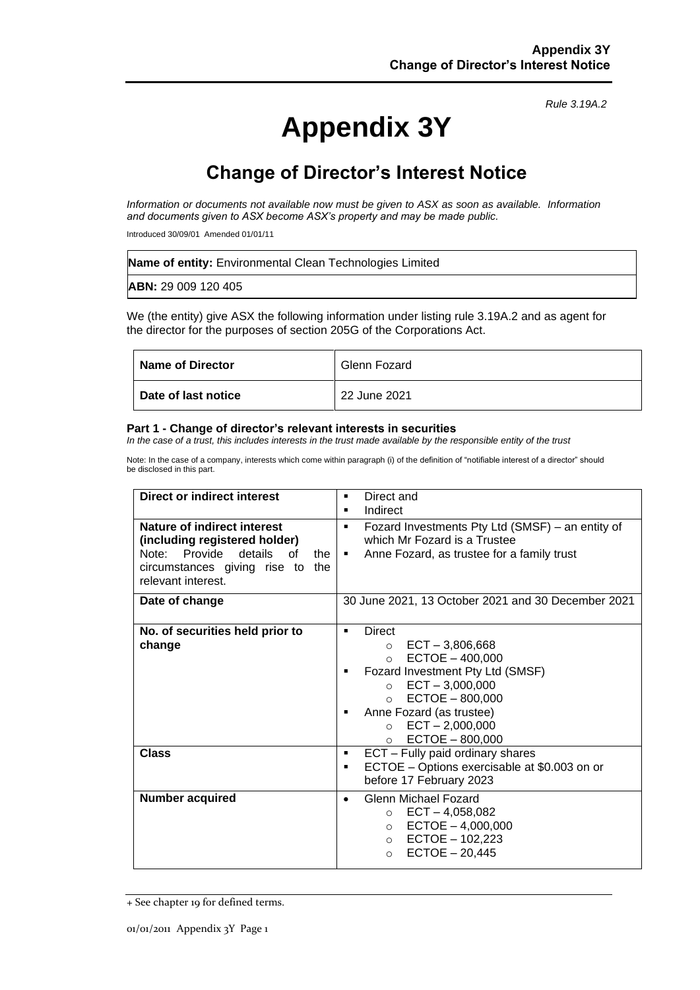# **Appendix 3Y**

*Rule 3.19A.2*

# **Change of Director's Interest Notice**

*Information or documents not available now must be given to ASX as soon as available. Information and documents given to ASX become ASX's property and may be made public.*

Introduced 30/09/01 Amended 01/01/11

| <b>Name of entity:</b> Environmental Clean Technologies Limited |
|-----------------------------------------------------------------|
| <b>ABN: 29 009 120 405</b>                                      |

We (the entity) give ASX the following information under listing rule 3.19A.2 and as agent for the director for the purposes of section 205G of the Corporations Act.

| <b>Name of Director</b> | Glenn Fozard |
|-------------------------|--------------|
| Date of last notice     | 22 June 2021 |

#### **Part 1 - Change of director's relevant interests in securities**

*In the case of a trust, this includes interests in the trust made available by the responsible entity of the trust*

Note: In the case of a company, interests which come within paragraph (i) of the definition of "notifiable interest of a director" should be disclosed in this part.

| <b>Direct or indirect interest</b>                                                                                                                           | Direct and<br>٠<br>Indirect<br>٠                                                                                                                                                                                                                                               |  |
|--------------------------------------------------------------------------------------------------------------------------------------------------------------|--------------------------------------------------------------------------------------------------------------------------------------------------------------------------------------------------------------------------------------------------------------------------------|--|
| Nature of indirect interest<br>(including registered holder)<br>Note: Provide details<br>of<br>the<br>circumstances giving rise to the<br>relevant interest. | Fozard Investments Pty Ltd (SMSF) – an entity of<br>$\blacksquare$<br>which Mr Fozard is a Trustee<br>Anne Fozard, as trustee for a family trust<br>$\blacksquare$                                                                                                             |  |
| Date of change                                                                                                                                               | 30 June 2021, 13 October 2021 and 30 December 2021                                                                                                                                                                                                                             |  |
| No. of securities held prior to<br>change                                                                                                                    | Direct<br>$\blacksquare$<br>$\circ$ ECT - 3,806,668<br>$ECTOE - 400,000$<br>$\circ$<br>Fozard Investment Pty Ltd (SMSF)<br>$\circ$ ECT - 3,000,000<br>$ECTOE - 800,000$<br>$\circ$<br>Anne Fozard (as trustee)<br>$ECT - 2,000,000$<br>$\circ$<br>$ECTOE - 800,000$<br>$\circ$ |  |
| <b>Class</b>                                                                                                                                                 | ECT - Fully paid ordinary shares<br>٠<br>ECTOE - Options exercisable at \$0.003 on or<br>٠<br>before 17 February 2023                                                                                                                                                          |  |
| <b>Number acquired</b>                                                                                                                                       | Glenn Michael Fozard<br>$\bullet$<br>$\circ$ ECT - 4,058,082<br>$ECTOE - 4,000,000$<br>$\circ$<br>○ ECTOE $-102,223$<br>$ECTOE - 20,445$<br>$\circ$                                                                                                                            |  |

<sup>+</sup> See chapter 19 for defined terms.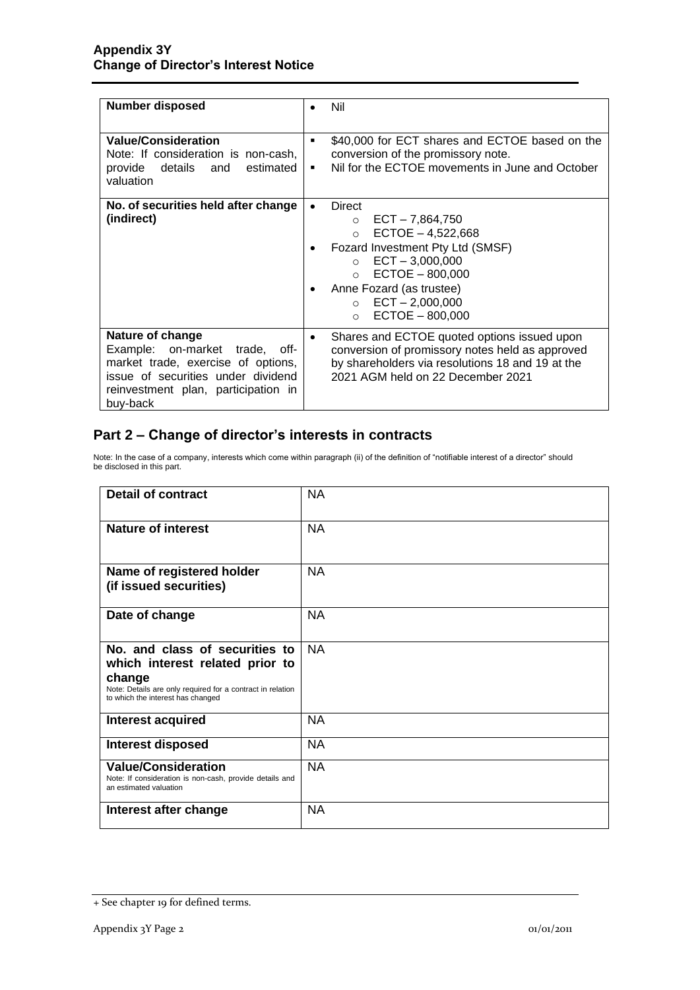| <b>Number disposed</b>                                                                                                                                                               | Nil                                                                                                                                                                                                                                                                                              |  |
|--------------------------------------------------------------------------------------------------------------------------------------------------------------------------------------|--------------------------------------------------------------------------------------------------------------------------------------------------------------------------------------------------------------------------------------------------------------------------------------------------|--|
| <b>Value/Consideration</b><br>Note: If consideration is non-cash,<br>provide details and<br>estimated<br>valuation                                                                   | \$40,000 for ECT shares and ECTOE based on the<br>٠<br>conversion of the promissory note.<br>Nil for the ECTOE movements in June and October<br>٠                                                                                                                                                |  |
| No. of securities held after change<br>(indirect)                                                                                                                                    | <b>Direct</b><br>$\bullet$<br>$ECT - 7,864,750$<br>$\Omega$<br>$ECTOE - 4,522,668$<br>$\Omega$<br>Fozard Investment Pty Ltd (SMSF)<br>٠<br>$ECT - 3,000,000$<br>$\Omega$<br>$ECTOE - 800,000$<br>$\Omega$<br>Anne Fozard (as trustee)<br>$\circ$ ECT - 2,000,000<br>$ECTOE - 800,000$<br>$\circ$ |  |
| Nature of change<br>Example:<br>on-market trade, off-<br>market trade, exercise of options,<br>issue of securities under dividend<br>reinvestment plan, participation in<br>buy-back | Shares and ECTOE quoted options issued upon<br>$\bullet$<br>conversion of promissory notes held as approved<br>by shareholders via resolutions 18 and 19 at the<br>2021 AGM held on 22 December 2021                                                                                             |  |

# **Part 2 – Change of director's interests in contracts**

Note: In the case of a company, interests which come within paragraph (ii) of the definition of "notifiable interest of a director" should be disclosed in this part.

| <b>Detail of contract</b>                                                                                                                                                      | <b>NA</b> |
|--------------------------------------------------------------------------------------------------------------------------------------------------------------------------------|-----------|
| <b>Nature of interest</b>                                                                                                                                                      | <b>NA</b> |
| Name of registered holder<br>(if issued securities)                                                                                                                            | <b>NA</b> |
| Date of change                                                                                                                                                                 | <b>NA</b> |
| No. and class of securities to<br>which interest related prior to<br>change<br>Note: Details are only required for a contract in relation<br>to which the interest has changed | <b>NA</b> |
| Interest acquired                                                                                                                                                              | <b>NA</b> |
| <b>Interest disposed</b>                                                                                                                                                       | <b>NA</b> |
| <b>Value/Consideration</b><br>Note: If consideration is non-cash, provide details and<br>an estimated valuation                                                                | NA        |
| Interest after change                                                                                                                                                          | <b>NA</b> |

<sup>+</sup> See chapter 19 for defined terms.